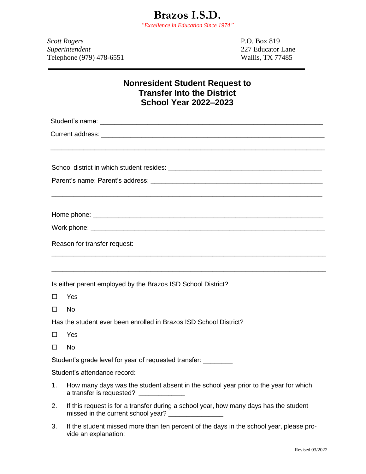*Scott Rogers* P.O. Box 819 *Superintendent* 227 Educator Lane Telephone (979) 478-6551 Wallis, TX 77485

## **Nonresident Student Request to Transfer Into the District School Year 2022–2023**

\_\_\_\_\_\_\_\_\_\_\_\_\_\_\_\_\_\_\_\_\_\_\_\_\_\_\_\_\_\_\_\_\_\_\_\_\_\_\_\_\_\_\_\_\_\_\_\_\_\_\_\_\_\_\_\_\_\_\_\_\_\_\_\_\_\_\_\_\_\_\_\_\_\_\_

\_\_\_\_\_\_\_\_\_\_\_\_\_\_\_\_\_\_\_\_\_\_\_\_\_\_\_\_\_\_\_\_\_\_\_\_\_\_\_\_\_\_\_\_\_\_\_\_\_\_\_\_\_\_\_\_\_\_\_\_\_\_\_\_\_\_\_\_\_\_\_\_\_\_

\_\_\_\_\_\_\_\_\_\_\_\_\_\_\_\_\_\_\_\_\_\_\_\_\_\_\_\_\_\_\_\_\_\_\_\_\_\_\_\_\_\_\_\_\_\_\_\_\_\_\_\_\_\_\_\_\_\_\_\_\_\_\_\_\_\_\_\_\_\_\_\_\_\_\_

\_\_\_\_\_\_\_\_\_\_\_\_\_\_\_\_\_\_\_\_\_\_\_\_\_\_\_\_\_\_\_\_\_\_\_\_\_\_\_\_\_\_\_\_\_\_\_\_\_\_\_\_\_\_\_\_\_\_\_\_\_\_\_\_\_\_\_\_\_\_\_\_\_\_\_

Student's name:  $\Box$ 

Current address: \_\_\_\_\_\_\_\_\_\_\_\_\_\_\_\_\_\_\_\_\_\_\_\_\_\_\_\_\_\_\_\_\_\_\_\_\_\_\_\_\_\_\_\_\_\_\_\_\_\_\_\_\_\_\_\_\_\_\_\_\_

School district in which student resides: \_\_\_\_\_\_\_\_\_\_\_\_\_\_\_\_\_\_\_\_\_\_\_\_\_\_\_\_\_\_\_\_\_\_\_\_\_\_\_\_\_\_

Parent's name: Parent's address: \_\_\_\_\_\_\_\_\_\_\_\_\_\_\_\_\_\_\_\_\_\_\_\_\_\_\_\_\_\_\_\_\_\_\_\_\_\_\_\_\_\_\_\_\_\_\_

Home phone:  $\blacksquare$ 

Work phone: \_\_\_\_\_\_\_\_\_\_\_\_\_\_\_\_\_\_\_\_\_\_\_\_\_\_\_\_\_\_\_\_\_\_\_\_\_\_\_\_\_\_\_\_\_\_\_\_\_\_\_\_\_\_\_\_\_\_\_\_\_\_\_\_

Reason for transfer request:

Is either parent employed by the Brazos ISD School District?

□ Yes

 $\square$  No

Has the student ever been enrolled in Brazos ISD School District?

- Yes
- $\square$  No

Student's grade level for year of requested transfer:

Student's attendance record:

- 1. How many days was the student absent in the school year prior to the year for which a transfer is requested?
- 2. If this request is for a transfer during a school year, how many days has the student missed in the current school year? \_\_\_\_\_\_\_\_\_\_\_\_\_\_\_
- 3. If the student missed more than ten percent of the days in the school year, please provide an explanation: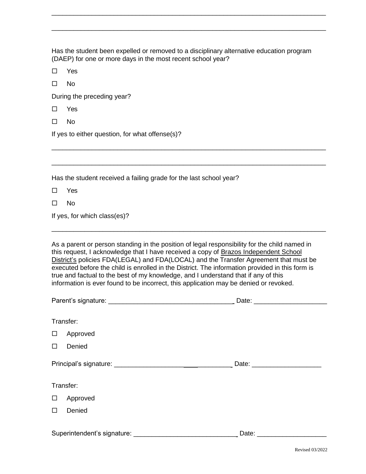Has the student been expelled or removed to a disciplinary alternative education program (DAEP) for one or more days in the most recent school year?

\_\_\_\_\_\_\_\_\_\_\_\_\_\_\_\_\_\_\_\_\_\_\_\_\_\_\_\_\_\_\_\_\_\_\_\_\_\_\_\_\_\_\_\_\_\_\_\_\_\_\_\_\_\_\_\_\_\_\_\_\_\_\_\_\_\_\_\_\_\_\_\_\_\_\_

\_\_\_\_\_\_\_\_\_\_\_\_\_\_\_\_\_\_\_\_\_\_\_\_\_\_\_\_\_\_\_\_\_\_\_\_\_\_\_\_\_\_\_\_\_\_\_\_\_\_\_\_\_\_\_\_\_\_\_\_\_\_\_\_\_\_\_\_\_\_\_\_\_\_\_

\_\_\_\_\_\_\_\_\_\_\_\_\_\_\_\_\_\_\_\_\_\_\_\_\_\_\_\_\_\_\_\_\_\_\_\_\_\_\_\_\_\_\_\_\_\_\_\_\_\_\_\_\_\_\_\_\_\_\_\_\_\_\_\_\_\_\_\_\_\_\_\_\_\_\_

\_\_\_\_\_\_\_\_\_\_\_\_\_\_\_\_\_\_\_\_\_\_\_\_\_\_\_\_\_\_\_\_\_\_\_\_\_\_\_\_\_\_\_\_\_\_\_\_\_\_\_\_\_\_\_\_\_\_\_\_\_\_\_\_\_\_\_\_\_\_\_\_\_\_\_

□ Yes

| ۰. |
|----|
|----|

During the preceding year?

□ Yes

 $\square$  No

If yes to either question, for what offense(s)?

Has the student received a failing grade for the last school year?

Yes

 $\square$  No

If yes, for which class(es)?

As a parent or person standing in the position of legal responsibility for the child named in this request, I acknowledge that I have received a copy of Brazos Independent School District's policies FDA(LEGAL) and FDA(LOCAL) and the Transfer Agreement that must be executed before the child is enrolled in the District. The information provided in this form is true and factual to the best of my knowledge, and I understand that if any of this information is ever found to be incorrect, this application may be denied or revoked.

\_\_\_\_\_\_\_\_\_\_\_\_\_\_\_\_\_\_\_\_\_\_\_\_\_\_\_\_\_\_\_\_\_\_\_\_\_\_\_\_\_\_\_\_\_\_\_\_\_\_\_\_\_\_\_\_\_\_\_\_\_\_\_\_\_\_\_\_\_\_\_\_\_\_\_

|           |          | Date: _______________________ |  |
|-----------|----------|-------------------------------|--|
|           |          |                               |  |
| Transfer: |          |                               |  |
| $\Box$    | Approved |                               |  |
| $\Box$    | Denied   |                               |  |
|           |          |                               |  |
| Transfer: |          |                               |  |
| $\Box$    | Approved |                               |  |
| $\Box$    | Denied   |                               |  |
|           |          |                               |  |
|           |          |                               |  |